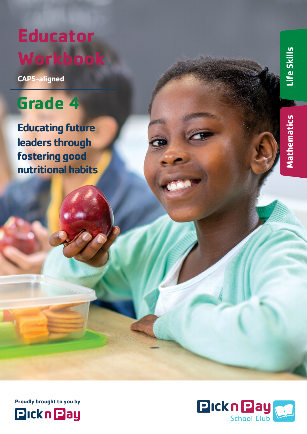# **Educator Workbook**

**CAPS-aligned**

# **Grade 4**

**Educating future leaders through fostering good nutritional habits**





**Mathematics Mathematics**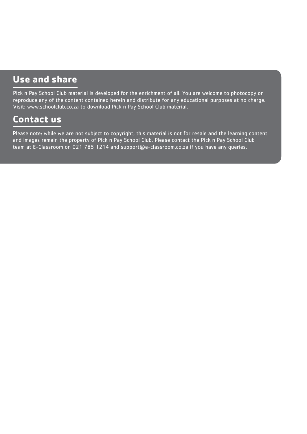# **Use and share**

Pick n Pay School Club material is developed for the enrichment of all. You are welcome to photocopy or reproduce any of the content contained herein and distribute for any educational purposes at no charge. Visit: www.schoolclub.co.za to download Pick n Pay School Club material.

# **Contact us**

Please note: while we are not subject to copyright, this material is not for resale and the learning content and images remain the property of Pick n Pay School Club. Please contact the Pick n Pay School Club team at E-Classroom on 021 785 1214 and support@e-classroom.co.za if you have any queries.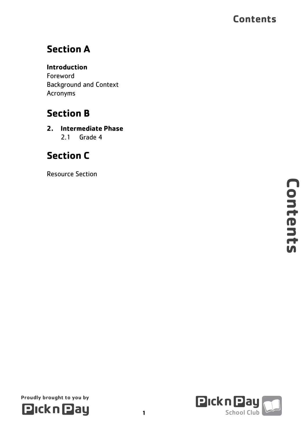# **Section A**

### **Introduction**

Foreword Background and Context Acronyms

# **Section B**

**2. Intermediate Phase** 2.1 Grade 4

# **Section C**

Resource Section



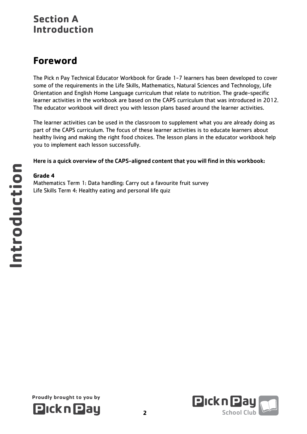## **Section A Introduction**

# **Foreword**

The Pick n Pay Technical Educator Workbook for Grade 1-7 learners has been developed to cover some of the requirements in the Life Skills, Mathematics, Natural Sciences and Technology, Life Orientation and English Home Language curriculum that relate to nutrition. The grade-specific learner activities in the workbook are based on the CAPS curriculum that was introduced in 2012. The educator workbook will direct you with lesson plans based around the learner activities.

The learner activities can be used in the classroom to supplement what you are already doing as part of the CAPS curriculum. The focus of these learner activities is to educate learners about healthy living and making the right food choices. The lesson plans in the educator workbook help you to implement each lesson successfully.

Here is a quick overview of the CAPS-aligned content that you will find in this workbook:

#### **Grade 4**

Mathematics Term 1: Data handling: Carry out a favourite fruit survey Life Skills Term 4: Healthy eating and personal life quiz



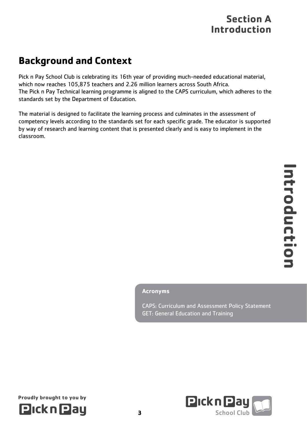# **Section A Introduction**

# **Background and Context**

Pick n Pay School Club is celebrating its 16th year of providing much-needed educational material, which now reaches 105,875 teachers and 2.26 million learners across South Africa. The Pick n Pay Technical learning programme is aligned to the CAPS curriculum, which adheres to the standards set by the Department of Education.

The material is designed to facilitate the learning process and culminates in the assessment of competency levels according to the standards set for each specific grade. The educator is supported by way of research and learning content that is presented clearly and is easy to implement in the classroom.

#### **Acronyms**

CAPS: Curriculum and Assessment Policy Statement GET: General Education and Training





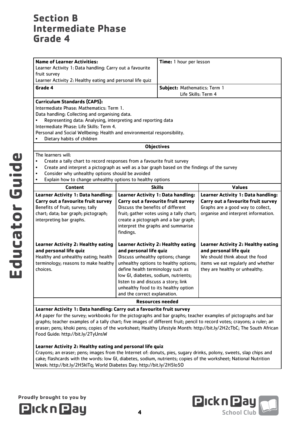| <b>Name of Learner Activities:</b>                                                                        |                                                         | Time: 1 hour per lesson                   |                                           |  |
|-----------------------------------------------------------------------------------------------------------|---------------------------------------------------------|-------------------------------------------|-------------------------------------------|--|
| Learner Activity 1: Data handling: Carry out a favourite                                                  |                                                         |                                           |                                           |  |
| fruit survey                                                                                              |                                                         |                                           |                                           |  |
| Learner Activity 2: Healthy eating and personal life quiz                                                 |                                                         |                                           |                                           |  |
| Grade 4                                                                                                   |                                                         | Subject: Mathematics: Term 1              |                                           |  |
|                                                                                                           |                                                         | Life Skills: Term 4                       |                                           |  |
| <b>Curriculum Standards (CAPS):</b>                                                                       |                                                         |                                           |                                           |  |
| Intermediate Phase: Mathematics: Term 1.                                                                  |                                                         |                                           |                                           |  |
| Data handling: Collecting and organising data.                                                            |                                                         |                                           |                                           |  |
| Representing data: Analysing, interpreting and reporting data                                             |                                                         |                                           |                                           |  |
| Intermediate Phase: Life Skills: Term 4.                                                                  |                                                         |                                           |                                           |  |
| Personal and Social Wellbeing: Health and environmental responsibility.                                   |                                                         |                                           |                                           |  |
| Dietary habits of children                                                                                |                                                         |                                           |                                           |  |
|                                                                                                           | <b>Objectives</b>                                       |                                           |                                           |  |
| The learners will:                                                                                        |                                                         |                                           |                                           |  |
| Create a tally chart to record responses from a favourite fruit survey<br>$\bullet$                       |                                                         |                                           |                                           |  |
| Create and interpret a pictograph as well as a bar graph based on the findings of the survey<br>$\bullet$ |                                                         |                                           |                                           |  |
| Consider why unhealthy options should be avoided<br>$\bullet$                                             |                                                         |                                           |                                           |  |
| Explain how to change unhealthy options to healthy options<br>$\bullet$                                   |                                                         |                                           |                                           |  |
| Content                                                                                                   | <b>Skills</b>                                           |                                           | <b>Values</b>                             |  |
| <b>Learner Activity 1: Data handling:</b>                                                                 |                                                         |                                           |                                           |  |
|                                                                                                           |                                                         | <b>Learner Activity 1: Data handling:</b> | <b>Learner Activity 1: Data handling:</b> |  |
| Carry out a favourite fruit survey                                                                        | Carry out a favourite fruit survey                      |                                           | Carry out a favourite fruit survey        |  |
| Benefits of fruit; survey; tally                                                                          | Discuss the benefits of different                       |                                           | Graphs are a good way to collect,         |  |
| chart; data; bar graph; pictograph;                                                                       | fruit; gather votes using a tally chart;                |                                           | organise and interpret information.       |  |
| interpreting bar graphs.                                                                                  | create a pictograph and a bar graph;                    |                                           |                                           |  |
|                                                                                                           | interpret the graphs and summarise                      |                                           |                                           |  |
|                                                                                                           | findings.                                               |                                           |                                           |  |
|                                                                                                           |                                                         |                                           |                                           |  |
| <b>Learner Activity 2: Healthy eating</b>                                                                 | <b>Learner Activity 2: Healthy eating</b>               |                                           | <b>Learner Activity 2: Healthy eating</b> |  |
| and personal life quiz                                                                                    | and personal life quiz                                  |                                           | and personal life quiz                    |  |
| Healthy and unhealthy eating; health                                                                      | Discuss unhealthy options; change                       |                                           | We should think about the food            |  |
| terminology; reasons to make healthy                                                                      | unhealthy options to healthy options;                   |                                           | items we eat regularly and whether        |  |
| choices.                                                                                                  | define health terminology such as                       |                                           | they are healthy or unhealthy.            |  |
|                                                                                                           | low GI, diabetes, sodium, nutrients;                    |                                           |                                           |  |
|                                                                                                           | listen to and discuss a story; link                     |                                           |                                           |  |
|                                                                                                           | unhealthy food to its healthy option                    |                                           |                                           |  |
|                                                                                                           | and the correct explanation.<br><b>Resources needed</b> |                                           |                                           |  |

#### **Learner Activity 1: Data handling: Carry out a favourite fruit survey**

A4 paper for the survey; workbooks for the pictographs and bar graphs; teacher examples of pictographs and bar graphs; teacher examples of a tally chart; five images of different fruit; pencil to record votes; crayons; a ruler; an eraser; pens; khoki pens; copies of the worksheet; Healthy Lifestyle Month: http://bit.ly/2H2cTbC; The South African Food Guide: http://bit.ly/2TyUnsW

#### **Learner Activity 2: Healthy eating and personal life quiz**

Crayons; an eraser; pens; images from the Internet of: donuts, pies, sugary drinks, polony, sweets, slap chips and cake; flashcards with the words: low GI, diabetes, sodium, nutrients; copies of the worksheet; National Nutrition Week: http://bit.ly/2H5klTq; World Diabetes Day: http://bit.ly/2H5lo5O





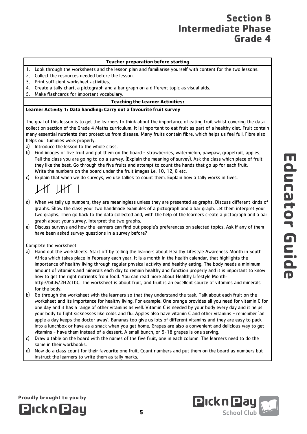#### **Teacher preparation before starting**

- 1. Look through the worksheets and the lesson plan and familiarise yourself with content for the two lessons.
- 2. Collect the resources needed before the lesson.
- 3. Print sufficient worksheet activities.
- 4. Create a tally chart, a pictograph and a bar graph on a different topic as visual aids.
- 5. Make flashcards for important vocabulary.

#### **Teaching the Learner Activities:**

#### **Learner Activity 1: Data handling: Carry out a favourite fruit survey**

The goal of this lesson is to get the learners to think about the importance of eating fruit whilst covering the data collection section of the Grade 4 Maths curriculum. It is important to eat fruit as part of a healthy diet. Fruit contain many essential nutrients that protect us from disease. Many fruits contain fibre, which helps us feel full. Fibre also helps our tummies work properly.

- a) Introduce the lesson to the whole class.
- b) Find images of five fruit and put them on the board strawberries, watermelon, pawpaw, grapefruit, apples. Tell the class you are going to do a survey. (Explain the meaning of survey). Ask the class which piece of fruit they like the best. Go through the five fruits and attempt to count the hands that go up for each fruit. Write the numbers on the board under the fruit images i.e. 10, 12, 8 etc.
- c) Explain that when we do surveys, we use tallies to count them. Explain how a tally works in fives.

# $\mathbb{H}$

- d) When we tally up numbers, they are meaningless unless they are presented as graphs. Discuss different kinds of graphs. Show the class your two handmade examples of a pictograph and a bar graph. Let them interpret your two graphs. Then go back to the data collected and, with the help of the learners create a pictograph and a bar graph about your survey. Interpret the two graphs.
- e) Discuss surveys and how the learners can find out people's preferences on selected topics. Ask if any of them have been asked survey questions in a survey before?

Complete the worksheet

Proudly brought to you by

**Pickn Pay** 

- a) Hand out the worksheets. Start off by telling the learners about Healthy Lifestyle Awareness Month in South Africa which takes place in February each year. It is a month in the health calendar, that highlights the importance of healthy living through regular physical activity and healthy eating. The body needs a minimum amount of vitamins and minerals each day to remain healthy and function properly and it is important to know how to get the right nutrients from food. You can read more about Healthy Lifestyle Month: http://bit.ly/2H2cTbC. The worksheet is about fruit, and fruit is an excellent source of vitamins and minerals for the body.
- b) Go through the worksheet with the learners so that they understand the task. Talk about each fruit on the worksheet and its importance for healthy living. For example: One orange provides all you need for vitamin C for one day and it has a range of other vitamins as well. Vitamin C is needed by your body every day and it helps your body to fight sicknesses like colds and flu. Apples also have vitamin C and other vitamins - remember 'an apple a day keeps the doctor away'. Bananas too give us lots of different vitamins and they are easy to pack into a lunchbox or have as a snack when you get home. Grapes are also a convenient and delicious way to get vitamins - have them instead of a dessert. A small bunch, or 9-18 grapes is one serving.
- c) Draw a table on the board with the names of the five fruit, one in each column. The learners need to do the same in their workbooks.
- d) Now do a class count for their favourite one fruit. Count numbers and put them on the board as numbers but instruct the learners to write them as tally marks.

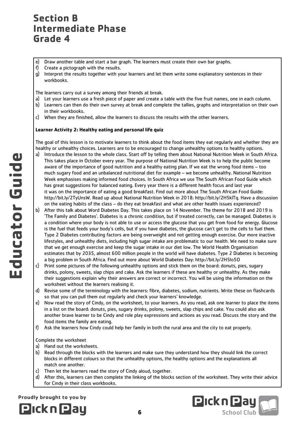e) Draw another table and start a bar graph. The learners must create their own bar graphs.

- f) Create a pictograph with the results.
- g) Interpret the results together with your learners and let them write some explanatory sentences in their workbooks.

The learners carry out a survey among their friends at break.

- a) Let your learners use a fresh piece of paper and create a table with the five fruit names, one in each column.
- b) Learners can then do their own survey at break and complete the tallies, graphs and interpretation on their own in their workbooks.
- c) When they are finished, allow the learners to discuss the results with the other learners.

#### **Learner Activity 2: Healthy eating and personal life quiz**

The goal of this lesson is to motivate learners to think about the food items they eat regularly and whether they are healthy or unhealthy choices. Learners are to be encouraged to change unhealthy options to healthy options.

- a) Introduce the lesson to the whole class. Start off by telling them about National Nutrition Week in South Africa. This takes place in October every year. The purpose of National Nutrition Week is to help the public become aware of the importance of good nutrition and a healthy eating plan. If we eat the wrong food items – too much sugary food and an unbalanced nutritional diet for example – we become unhealthy. National Nutrition Week emphasises making informed food choices. In South Africa we use The South African Food Guide which has great suggestions for balanced eating. Every year there is a different health focus and last year it was on the importance of eating a good breakfast. Find out more about The South African Food Guide: http://bit.ly/2TyUnsW. Read up about National Nutrition Week in 2018: http://bit.ly/2H5klTq. Have a discussion on the eating habits of the class – do they eat breakfast and what are other health issues experienced?
- b) After this talk about Word Diabetes Day. This takes place on 14 November. The theme for 2018 and 2019 is 'The Family and Diabetes'. Diabetes is a chronic condition, but if treated correctly, can be managed. Diabetes is a condition where your body is not able to use or access the glucose that you get from food for energy. Glucose is the fuel that feeds your body's cells, but if you have diabetes, the glucose can't get to the cells to fuel them. Type 2 Diabetes contributing factors are being overweight and not getting enough exercise. Our more inactive lifestyles, and unhealthy diets, including high sugar intake are problematic to our health. We need to make sure that we get enough exercise and keep the sugar intake in our diet low. The World Health Organisation estimates that by 2035, almost 600 million people in the world will have diabetes. Type 2 Diabetes is becoming a big problem in South Africa. Find out more about World Diabetes Day: http://bit.ly/2H5lo5O
- c) Print some pictures of the following unhealthy options and stick them on the board: donuts, pies, sugary drinks, polony, sweets, slap chips and cake. Ask the learners if these are healthy or unhealthy. As they make their suggestions explain why their answers are correct or incorrect. You will be using the information on the worksheet without the learners realising it.
- d) Revise some of the terminology with the learners: fibre, diabetes, sodium, nutrients. Write these on flashcards so that you can pull them out regularly and check your learners' knowledge.
- e) Now read the story of Cindy, on the worksheet, to your learners. As you read, ask one learner to place the items in a list on the board: donuts, pies, sugary drinks, polony, sweets, slap chips and cake. You could also ask another brave learner to be Cindy and role play expressions and actions as you read. Discuss the story and the food items the family are eating.
- f) Ask the learners how Cindy could help her family in both the rural area and the city to eat properly.

#### Complete the worksheet

- a) Hand out the worksheets.
- b) Read through the blocks with the learners and make sure they understand how they should link the correct blocks in different colours so that the unhealthy options, the healthy options and the explanations all match one another.
- c) Then let the learners read the story of Cindy aloud, together.
- d) After this, learners can then complete the linking of the blocks section of the worksheet. They write their advice for Cindy in their class workbooks.



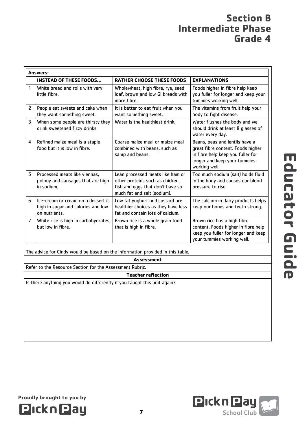| Answers:       |                                                                                           |                                                                                                                                        |                                                                                                                                                           |  |
|----------------|-------------------------------------------------------------------------------------------|----------------------------------------------------------------------------------------------------------------------------------------|-----------------------------------------------------------------------------------------------------------------------------------------------------------|--|
|                | <b>INSTEAD OF THESE FOODS</b>                                                             | <b>RATHER CHOOSE THESE FOODS</b>                                                                                                       | <b>EXPLANATIONS</b>                                                                                                                                       |  |
| 1              | White bread and rolls with very<br>little fibre.                                          | Wholewheat, high fibre, rye, seed<br>loaf, brown and low GI breads with<br>more fibre.                                                 | Foods higher in fibre help keep<br>you fuller for longer and keep your<br>tummies working well.                                                           |  |
| $\overline{2}$ | People eat sweets and cake when<br>they want something sweet.                             | It is better to eat fruit when you<br>want something sweet.                                                                            | The vitamins from fruit help your<br>body to fight disease.                                                                                               |  |
| 3              | When some people are thirsty they<br>drink sweetened fizzy drinks.                        | Water is the healthiest drink.                                                                                                         | Water flushes the body and we<br>should drink at least 8 glasses of<br>water every day.                                                                   |  |
| 4              | Refined maize meal is a staple<br>food but it is low in fibre.                            | Coarse maize meal or maize meal<br>combined with beans, such as<br>samp and beans.                                                     | Beans, peas and lentils have a<br>great fibre content. Foods higher<br>in fibre help keep you fuller for<br>longer and keep your tummies<br>working well. |  |
| 5              | Processed meats like viennas,<br>polony and sausages that are high<br>in sodium.          | Lean processed meats like ham or<br>other proteins such as chicken,<br>fish and eggs that don't have so<br>much fat and salt (sodium). | Too much sodium (salt) holds fluid<br>in the body and causes our blood<br>pressure to rise.                                                               |  |
| 6              | Ice-cream or cream on a dessert is<br>high in sugar and calories and low<br>on nutrients. | Low fat yoghurt and custard are<br>healthier choices as they have less<br>fat and contain lots of calcium.                             | The calcium in dairy products helps<br>keep our bones and teeth strong.                                                                                   |  |
| 7              | White rice is high in carbohydrates,<br>but low in fibre.                                 | Brown rice is a whole grain food<br>that is high in fibre.                                                                             | Brown rice has a high fibre<br>content. Foods higher in fibre help<br>keep you fuller for longer and keep<br>your tummies working well.                   |  |

The advice for Cindy would be based on the information provided in this table.

**Assessment**

Refer to the Resource Section for the Assessment Rubric.

#### **Teacher reflection**

Is there anything you would do differently if you taught this unit again?



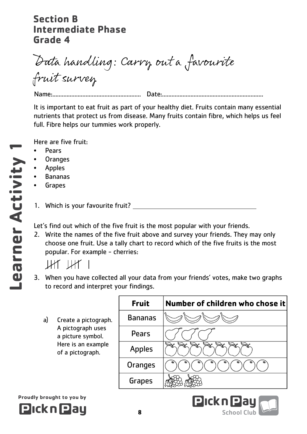Data handling: Carry out a favourite fruit survey

Name:........................................................ Date:................................................................

It is important to eat fruit as part of your healthy diet. Fruits contain many essential nutrients that protect us from disease. Many fruits contain fibre, which helps us feel full. Fibre helps our tummies work properly.

Here are five fruit:

- Pears
- Oranges
- Apples
- Bananas
- **Grapes**
- 1. Which is your favourite fruit?

Let's find out which of the five fruit is the most popular with your friends.

2. Write the names of the five fruit above and survey your friends. They may only choose one fruit. Use a tally chart to record which of the five fruits is the most popular. For example - cherries:

 $\mu$ r  $\mu$ r I

- 3. When you have collected all your data from your friends' votes, make two graphs to record and interpret your findings.
	- a) Create a pictograp A pictograph uses a picture symbol. Here is an example of a pictograph.

Proudly brought to you by

**PicknPau** 

|    | <b>Fruit</b>   | Number of children who chose it |
|----|----------------|---------------------------------|
| h. | <b>Bananas</b> |                                 |
|    | Pears          |                                 |
| ∍  | <b>Apples</b>  |                                 |
|    | Oranges        |                                 |
|    | Grapes         |                                 |

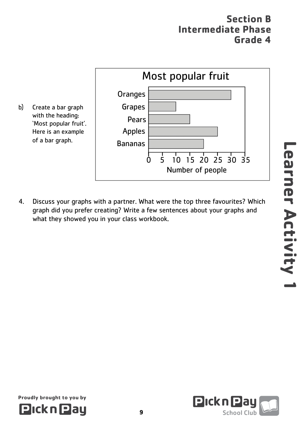

4. Discuss your graphs with a partner. What were the top three favourites? Which graph did you prefer creating? Write a few sentences about your graphs and what they showed you in your class workbook.

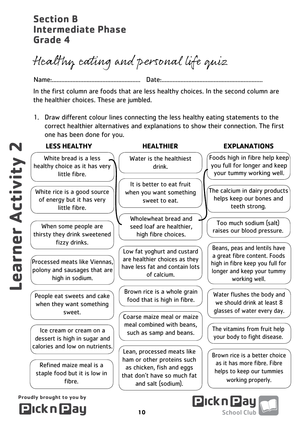N

Healthy eating and personal life quiz

Name:........................................................ Date:................................................................ In the first column are foods that are less healthy choices. In the second column are the healthier choices. These are jumbled.

1. Draw different colour lines connecting the less healthy eating statements to the correct healthier alternatives and explanations to show their connection. The first one has been done for you.

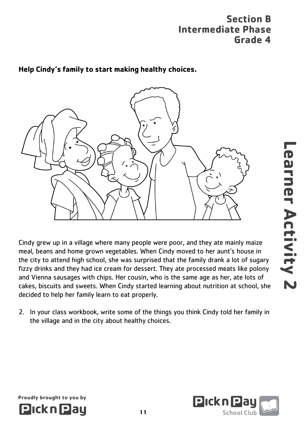### **Help Cindy's family to start making healthy choices.**



Cindy grew up in a village where many people were poor, and they ate mainly maize meal, beans and home grown vegetables. When Cindy moved to her aunt's house in the city to attend high school, she was surprised that the family drank a lot of sugary fizzy drinks and they had ice cream for dessert. They ate processed meats like polony and Vienna sausages with chips. Her cousin, who is the same age as her, ate lots of cakes, biscuits and sweets. When Cindy started learning about nutrition at school, she decided to help her family learn to eat properly.

2. In your class workbook, write some of the things you think Cindy told her family in the village and in the city about healthy choices.



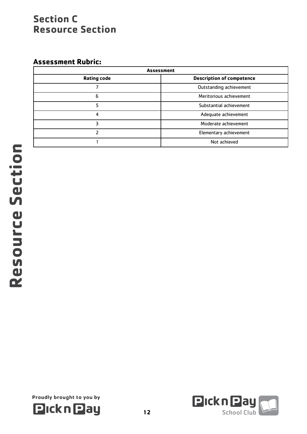## **Section C Resource Section**

### **Assessment Rubric:**

| <b>Assessment</b>  |                                  |  |
|--------------------|----------------------------------|--|
| <b>Rating code</b> | <b>Description of competence</b> |  |
|                    | Outstanding achievement          |  |
| 6                  | Meritorious achievement          |  |
|                    | Substantial achievement          |  |
| 4                  | Adequate achievement             |  |
| 3                  | Moderate achievement             |  |
|                    | Elementary achievement           |  |
|                    | Not achieved                     |  |